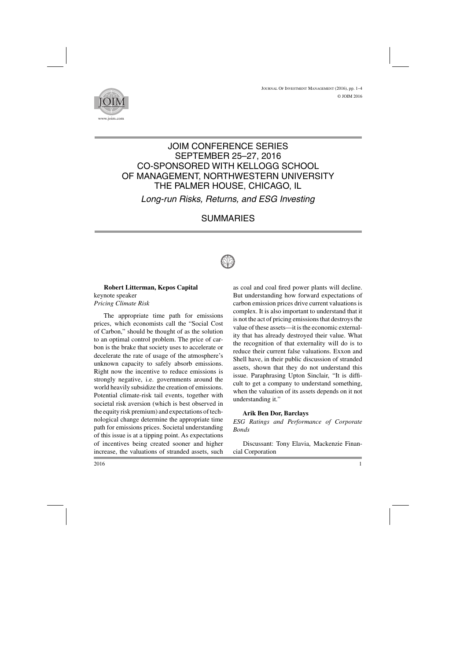

# JOIM CONFERENCE SERIES SEPTEMBER 25–27, 2016 CO-SPONSORED WITH KELLOGG SCHOOL OF MANAGEMENT, NORTHWESTERN UNIVERSITY THE PALMER HOUSE, CHICAGO, IL

*Long-run Risks, Returns, and ESG Investing*

# SUMMARIES



#### **Robert Litterman, Kepos Capital** keynote speaker *Pricing Climate Risk*

The appropriate time path for emissions prices, which economists call the "Social Cost of Carbon," should be thought of as the solution to an optimal control problem. The price of carbon is the brake that society uses to accelerate or decelerate the rate of usage of the atmosphere's unknown capacity to safely absorb emissions. Right now the incentive to reduce emissions is strongly negative, i.e. governments around the world heavily subsidize the creation of emissions. Potential climate-risk tail events, together with societal risk aversion (which is best observed in the equity risk premium) and expectations of technological change determine the appropriate time path for emissions prices. Societal understanding of this issue is at a tipping point. As expectations of incentives being created sooner and higher increase, the valuations of stranded assets, such as coal and coal fired power plants will decline. But understanding how forward expectations of carbon emission prices drive current valuations is complex. It is also important to understand that it is not the act of pricing emissions that destroys the value of these assets—it is the economic externality that has already destroyed their value. What the recognition of that externality will do is to reduce their current false valuations. Exxon and Shell have, in their public discussion of stranded assets, shown that they do not understand this issue. Paraphrasing Upton Sinclair, "It is difficult to get a company to understand something, when the valuation of its assets depends on it not understanding it."

### **Arik Ben Dor, Barclays**

*ESG Ratings and Performance of Corporate Bonds*

Discussant: Tony Elavia, Mackenzie Financial Corporation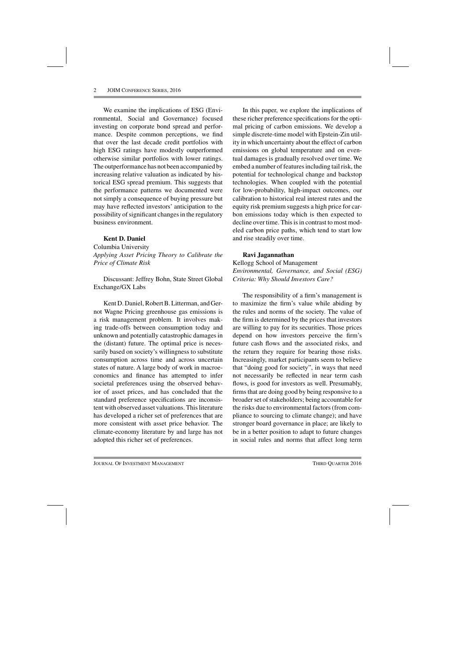We examine the implications of ESG (Environmental, Social and Governance) focused investing on corporate bond spread and performance. Despite common perceptions, we find that over the last decade credit portfolios with high ESG ratings have modestly outperformed otherwise similar portfolios with lower ratings. The outperformance has not been accompanied by increasing relative valuation as indicated by historical ESG spread premium. This suggests that the performance patterns we documented were not simply a consequence of buying pressure but may have reflected investors' anticipation to the possibility of significant changes in the regulatory business environment.

#### **Kent D. Daniel**

Columbia University *Applying Asset Pricing Theory to Calibrate the Price of Climate Risk*

Discussant: Jeffrey Bohn, State Street Global Exchange/GX Labs

Kent D. Daniel, Robert B. Litterman, and Gernot Wagne Pricing greenhouse gas emissions is a risk management problem. It involves making trade-offs between consumption today and unknown and potentially catastrophic damages in the (distant) future. The optimal price is necessarily based on society's willingness to substitute consumption across time and across uncertain states of nature. A large body of work in macroeconomics and finance has attempted to infer societal preferences using the observed behavior of asset prices, and has concluded that the standard preference specifications are inconsistent with observed asset valuations. This literature has developed a richer set of preferences that are more consistent with asset price behavior. The climate-economy literature by and large has not adopted this richer set of preferences.

In this paper, we explore the implications of these richer preference specifications for the optimal pricing of carbon emissions. We develop a simple discrete-time model with Epstein-Zin utility in which uncertainty about the effect of carbon emissions on global temperature and on eventual damages is gradually resolved over time. We embed a number of features including tail risk, the potential for technological change and backstop technologies. When coupled with the potential for low-probability, high-impact outcomes, our calibration to historical real interest rates and the equity risk premium suggests a high price for carbon emissions today which is then expected to decline over time. This is in contrast to most modeled carbon price paths, which tend to start low and rise steadily over time.

### **Ravi Jagannathan**

Kellogg School of Management *Environmental, Governance, and Social (ESG) Criteria: Why Should Investors Care?*

The responsibility of a firm's management is to maximize the firm's value while abiding by the rules and norms of the society. The value of the firm is determined by the prices that investors are willing to pay for its securities. Those prices depend on how investors perceive the firm's future cash flows and the associated risks, and the return they require for bearing those risks. Increasingly, market participants seem to believe that "doing good for society", in ways that need not necessarily be reflected in near term cash flows, is good for investors as well. Presumably, firms that are doing good by being responsive to a broader set of stakeholders; being accountable for the risks due to environmental factors (from compliance to sourcing to climate change); and have stronger board governance in place; are likely to be in a better position to adapt to future changes in social rules and norms that affect long term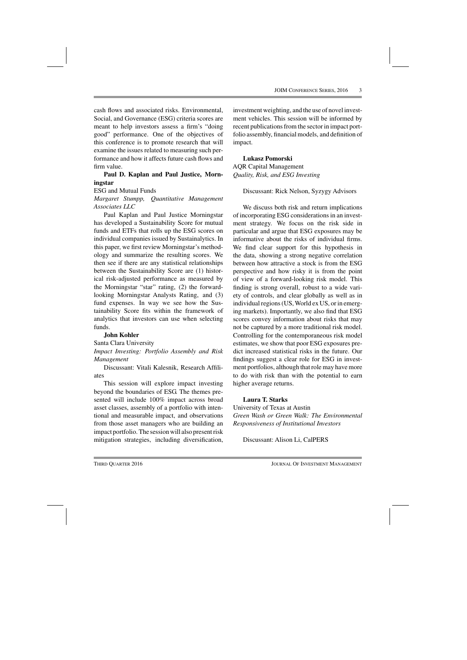cash flows and associated risks. Environmental, Social, and Governance (ESG) criteria scores are meant to help investors assess a firm's "doing good" performance. One of the objectives of this conference is to promote research that will examine the issues related to measuring such performance and how it affects future cash flows and firm value.

#### **Paul D. Kaplan and Paul Justice, Morningstar**

#### ESG and Mutual Funds

*Margaret Stumpp, Quantitative Management Associates LLC*

Paul Kaplan and Paul Justice Morningstar has developed a Sustainability Score for mutual funds and ETFs that rolls up the ESG scores on individual companies issued by Sustainalytics. In this paper, we first review Morningstar's methodology and summarize the resulting scores. We then see if there are any statistical relationships between the Sustainability Score are (1) historical risk-adjusted performance as measured by the Morningstar "star" rating, (2) the forwardlooking Morningstar Analysts Rating, and (3) fund expenses. In way we see how the Sustainability Score fits within the framework of analytics that investors can use when selecting funds.

#### **John Kohler**

Santa Clara University

*Impact Investing: Portfolio Assembly and Risk Management*

Discussant: Vitali Kalesnik, Research Affiliates

This session will explore impact investing beyond the boundaries of ESG. The themes presented will include 100% impact across broad asset classes, assembly of a portfolio with intentional and measurable impact, and observations from those asset managers who are building an impact portfolio. The session will also present risk mitigation strategies, including diversification,

investment weighting, and the use of novel investment vehicles. This session will be informed by recent publications from the sector in impact portfolio assembly, financial models, and definition of impact.

**Lukasz Pomorski** AQR Capital Management *Quality, Risk, and ESG Investing*

Discussant: Rick Nelson, Syzygy Advisors

We discuss both risk and return implications of incorporating ESG considerations in an investment strategy. We focus on the risk side in particular and argue that ESG exposures may be informative about the risks of individual firms. We find clear support for this hypothesis in the data, showing a strong negative correlation between how attractive a stock is from the ESG perspective and how risky it is from the point of view of a forward-looking risk model. This finding is strong overall, robust to a wide variety of controls, and clear globally as well as in individual regions (US, World ex US, or in emerging markets). Importantly, we also find that ESG scores convey information about risks that may not be captured by a more traditional risk model. Controlling for the contemporaneous risk model estimates, we show that poor ESG exposures predict increased statistical risks in the future. Our findings suggest a clear role for ESG in investment portfolios, although that role may have more to do with risk than with the potential to earn higher average returns.

#### **Laura T. Starks**

University of Texas at Austin *Green Wash or Green Walk: The Environmental Responsiveness of Institutional Investors*

Discussant: Alison Li, CalPERS